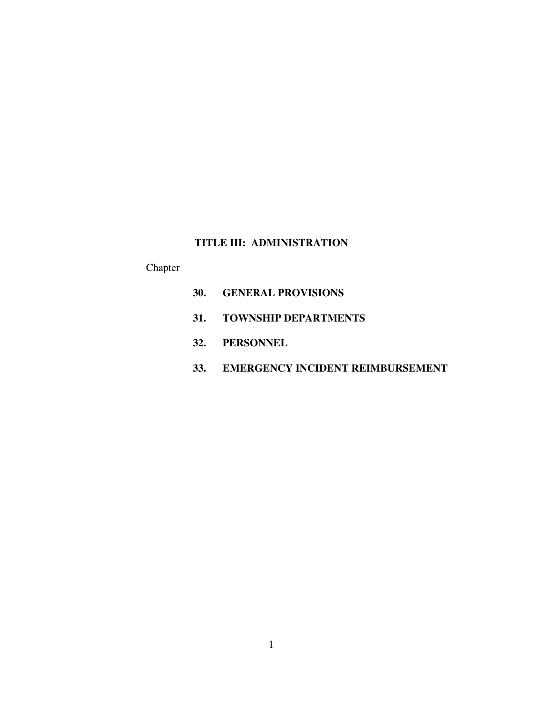# **TITLE III: ADMINISTRATION**

# Chapter

- **30. GENERAL PROVISIONS**
- **31. TOWNSHIP DEPARTMENTS**
- **32. PERSONNEL**
- **33. EMERGENCY INCIDENT REIMBURSEMENT**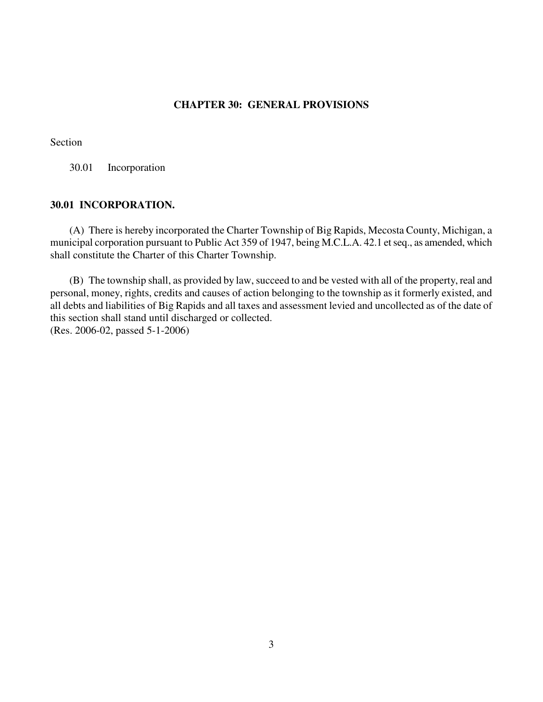## **CHAPTER 30: GENERAL PROVISIONS**

## Section

30.01 Incorporation

## **30.01 INCORPORATION.**

(A) There is hereby incorporated the Charter Township of Big Rapids, Mecosta County, Michigan, a municipal corporation pursuant to Public Act 359 of 1947, being M.C.L.A. 42.1 et seq., as amended, which shall constitute the Charter of this Charter Township.

(B) The township shall, as provided by law, succeed to and be vested with all of the property, real and personal, money, rights, credits and causes of action belonging to the township as it formerly existed, and all debts and liabilities of Big Rapids and all taxes and assessment levied and uncollected as of the date of this section shall stand until discharged or collected. (Res. 2006-02, passed 5-1-2006)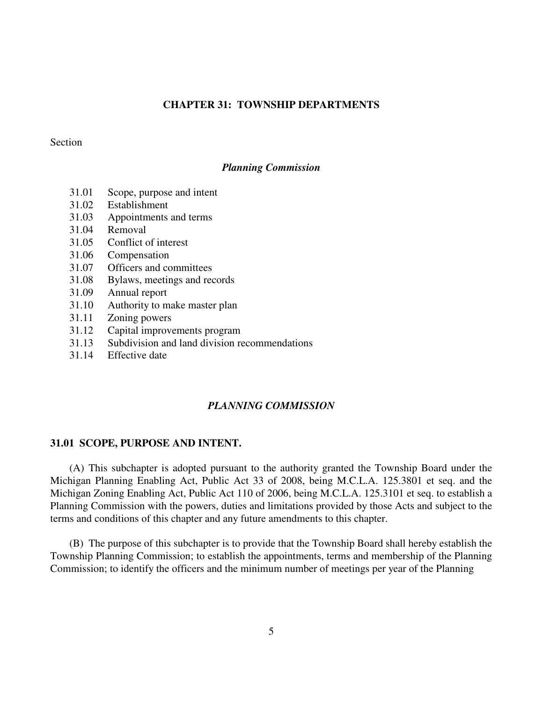## **CHAPTER 31: TOWNSHIP DEPARTMENTS**

### Section

#### *Planning Commission*

- 31.01 Scope, purpose and intent
- 31.02 Establishment
- 31.03 Appointments and terms
- 31.04 Removal
- 31.05 Conflict of interest
- 31.06 Compensation
- 31.07 Officers and committees
- 31.08 Bylaws, meetings and records
- 31.09 Annual report
- 31.10 Authority to make master plan
- 31.11 Zoning powers
- 31.12 Capital improvements program
- 31.13 Subdivision and land division recommendations
- 31.14 Effective date

#### *PLANNING COMMISSION*

#### **31.01 SCOPE, PURPOSE AND INTENT.**

(A) This subchapter is adopted pursuant to the authority granted the Township Board under the Michigan Planning Enabling Act, Public Act 33 of 2008, being M.C.L.A. 125.3801 et seq. and the Michigan Zoning Enabling Act, Public Act 110 of 2006, being M.C.L.A. 125.3101 et seq. to establish a Planning Commission with the powers, duties and limitations provided by those Acts and subject to the terms and conditions of this chapter and any future amendments to this chapter.

(B) The purpose of this subchapter is to provide that the Township Board shall hereby establish the Township Planning Commission; to establish the appointments, terms and membership of the Planning Commission; to identify the officers and the minimum number of meetings per year of the Planning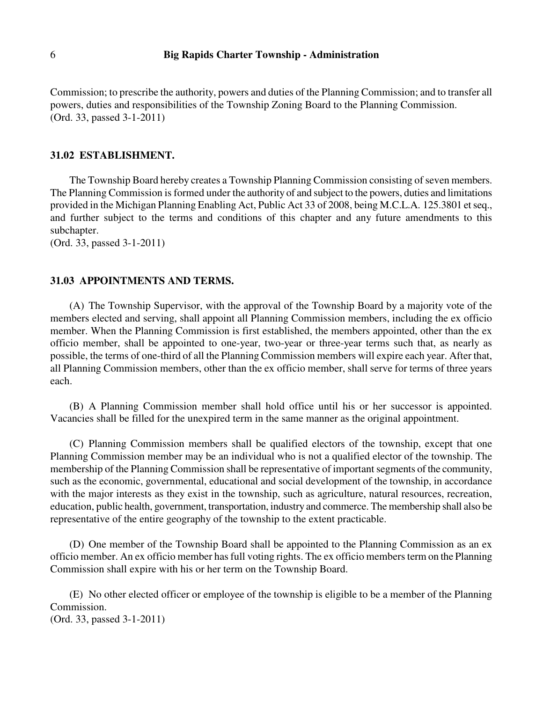Commission; to prescribe the authority, powers and duties of the Planning Commission; and to transfer all powers, duties and responsibilities of the Township Zoning Board to the Planning Commission. (Ord. 33, passed 3-1-2011)

### **31.02 ESTABLISHMENT.**

The Township Board hereby creates a Township Planning Commission consisting of seven members. The Planning Commission is formed under the authority of and subject to the powers, duties and limitations provided in the Michigan Planning Enabling Act, Public Act 33 of 2008, being M.C.L.A. 125.3801 et seq., and further subject to the terms and conditions of this chapter and any future amendments to this subchapter.

(Ord. 33, passed 3-1-2011)

#### **31.03 APPOINTMENTS AND TERMS.**

(A) The Township Supervisor, with the approval of the Township Board by a majority vote of the members elected and serving, shall appoint all Planning Commission members, including the ex officio member. When the Planning Commission is first established, the members appointed, other than the ex officio member, shall be appointed to one-year, two-year or three-year terms such that, as nearly as possible, the terms of one-third of all the Planning Commission members will expire each year. After that, all Planning Commission members, other than the ex officio member, shall serve for terms of three years each.

(B) A Planning Commission member shall hold office until his or her successor is appointed. Vacancies shall be filled for the unexpired term in the same manner as the original appointment.

(C) Planning Commission members shall be qualified electors of the township, except that one Planning Commission member may be an individual who is not a qualified elector of the township. The membership of the Planning Commission shall be representative of important segments of the community, such as the economic, governmental, educational and social development of the township, in accordance with the major interests as they exist in the township, such as agriculture, natural resources, recreation, education, public health, government, transportation, industry and commerce. The membership shall also be representative of the entire geography of the township to the extent practicable.

(D) One member of the Township Board shall be appointed to the Planning Commission as an ex officio member. An ex officio member has full voting rights. The ex officio members term on the Planning Commission shall expire with his or her term on the Township Board.

(E) No other elected officer or employee of the township is eligible to be a member of the Planning Commission.

(Ord. 33, passed 3-1-2011)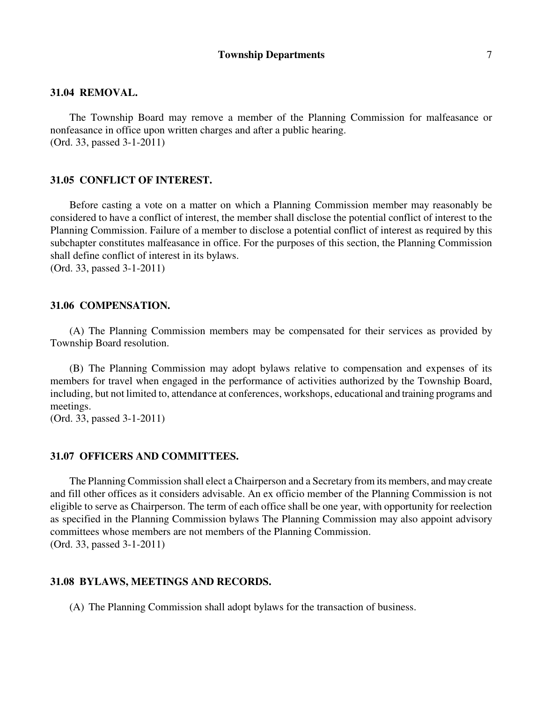#### **31.04 REMOVAL.**

The Township Board may remove a member of the Planning Commission for malfeasance or nonfeasance in office upon written charges and after a public hearing. (Ord. 33, passed 3-1-2011)

### **31.05 CONFLICT OF INTEREST.**

Before casting a vote on a matter on which a Planning Commission member may reasonably be considered to have a conflict of interest, the member shall disclose the potential conflict of interest to the Planning Commission. Failure of a member to disclose a potential conflict of interest as required by this subchapter constitutes malfeasance in office. For the purposes of this section, the Planning Commission shall define conflict of interest in its bylaws.

(Ord. 33, passed 3-1-2011)

#### **31.06 COMPENSATION.**

(A) The Planning Commission members may be compensated for their services as provided by Township Board resolution.

(B) The Planning Commission may adopt bylaws relative to compensation and expenses of its members for travel when engaged in the performance of activities authorized by the Township Board, including, but not limited to, attendance at conferences, workshops, educational and training programs and meetings.

(Ord. 33, passed 3-1-2011)

#### **31.07 OFFICERS AND COMMITTEES.**

The Planning Commission shall elect a Chairperson and a Secretary from its members, and may create and fill other offices as it considers advisable. An ex officio member of the Planning Commission is not eligible to serve as Chairperson. The term of each office shall be one year, with opportunity for reelection as specified in the Planning Commission bylaws The Planning Commission may also appoint advisory committees whose members are not members of the Planning Commission. (Ord. 33, passed 3-1-2011)

### **31.08 BYLAWS, MEETINGS AND RECORDS.**

(A) The Planning Commission shall adopt bylaws for the transaction of business.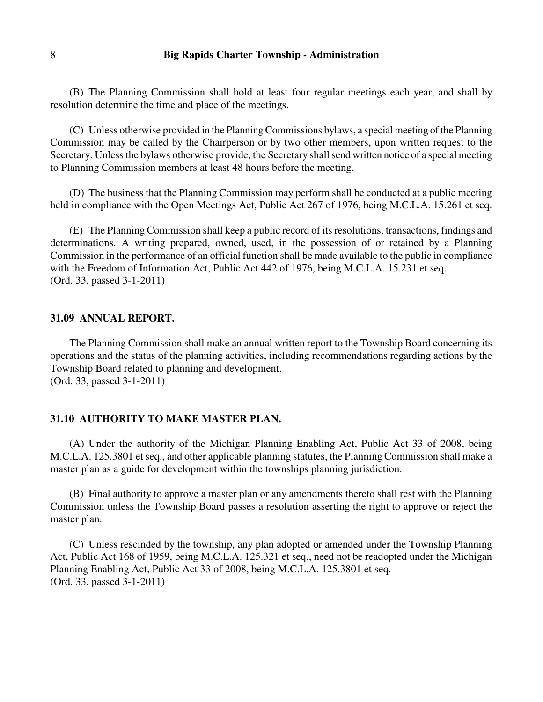## 8 **Big Rapids Charter Township - Administration**

(B) The Planning Commission shall hold at least four regular meetings each year, and shall by resolution determine the time and place of the meetings.

(C) Unless otherwise provided in the Planning Commissions bylaws, a special meeting of the Planning Commission may be called by the Chairperson or by two other members, upon written request to the Secretary. Unless the bylaws otherwise provide, the Secretary shall send written notice of a special meeting to Planning Commission members at least 48 hours before the meeting.

(D) The business that the Planning Commission may perform shall be conducted at a public meeting held in compliance with the Open Meetings Act, Public Act 267 of 1976, being M.C.L.A. 15.261 et seq.

(E) The Planning Commission shall keep a public record of its resolutions, transactions, findings and determinations. A writing prepared, owned, used, in the possession of or retained by a Planning Commission in the performance of an official function shall be made available to the public in compliance with the Freedom of Information Act, Public Act 442 of 1976, being M.C.L.A. 15.231 et seq. (Ord. 33, passed 3-1-2011)

#### **31.09 ANNUAL REPORT.**

The Planning Commission shall make an annual written report to the Township Board concerning its operations and the status of the planning activities, including recommendations regarding actions by the Township Board related to planning and development. (Ord. 33, passed 3-1-2011)

### **31.10 AUTHORITY TO MAKE MASTER PLAN.**

(A) Under the authority of the Michigan Planning Enabling Act, Public Act 33 of 2008, being M.C.L.A. 125.3801 et seq., and other applicable planning statutes, the Planning Commission shall make a master plan as a guide for development within the townships planning jurisdiction.

(B) Final authority to approve a master plan or any amendments thereto shall rest with the Planning Commission unless the Township Board passes a resolution asserting the right to approve or reject the master plan.

(C) Unless rescinded by the township, any plan adopted or amended under the Township Planning Act, Public Act 168 of 1959, being M.C.L.A. 125.321 et seq., need not be readopted under the Michigan Planning Enabling Act, Public Act 33 of 2008, being M.C.L.A. 125.3801 et seq. (Ord. 33, passed 3-1-2011)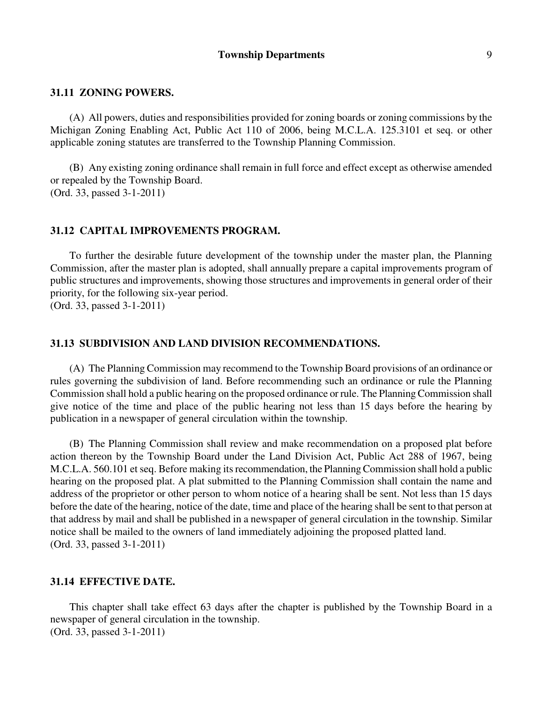### **31.11 ZONING POWERS.**

(A) All powers, duties and responsibilities provided for zoning boards or zoning commissions by the Michigan Zoning Enabling Act, Public Act 110 of 2006, being M.C.L.A. 125.3101 et seq. or other applicable zoning statutes are transferred to the Township Planning Commission.

(B) Any existing zoning ordinance shall remain in full force and effect except as otherwise amended or repealed by the Township Board. (Ord. 33, passed 3-1-2011)

## **31.12 CAPITAL IMPROVEMENTS PROGRAM.**

To further the desirable future development of the township under the master plan, the Planning Commission, after the master plan is adopted, shall annually prepare a capital improvements program of public structures and improvements, showing those structures and improvements in general order of their priority, for the following six-year period. (Ord. 33, passed 3-1-2011)

### **31.13 SUBDIVISION AND LAND DIVISION RECOMMENDATIONS.**

(A) The Planning Commission may recommend to the Township Board provisions of an ordinance or rules governing the subdivision of land. Before recommending such an ordinance or rule the Planning Commission shall hold a public hearing on the proposed ordinance or rule. The Planning Commission shall give notice of the time and place of the public hearing not less than 15 days before the hearing by publication in a newspaper of general circulation within the township.

(B) The Planning Commission shall review and make recommendation on a proposed plat before action thereon by the Township Board under the Land Division Act, Public Act 288 of 1967, being M.C.L.A. 560.101 et seq. Before making its recommendation, the Planning Commission shall hold a public hearing on the proposed plat. A plat submitted to the Planning Commission shall contain the name and address of the proprietor or other person to whom notice of a hearing shall be sent. Not less than 15 days before the date of the hearing, notice of the date, time and place of the hearing shall be sent to that person at that address by mail and shall be published in a newspaper of general circulation in the township. Similar notice shall be mailed to the owners of land immediately adjoining the proposed platted land. (Ord. 33, passed 3-1-2011)

### **31.14 EFFECTIVE DATE.**

This chapter shall take effect 63 days after the chapter is published by the Township Board in a newspaper of general circulation in the township. (Ord. 33, passed 3-1-2011)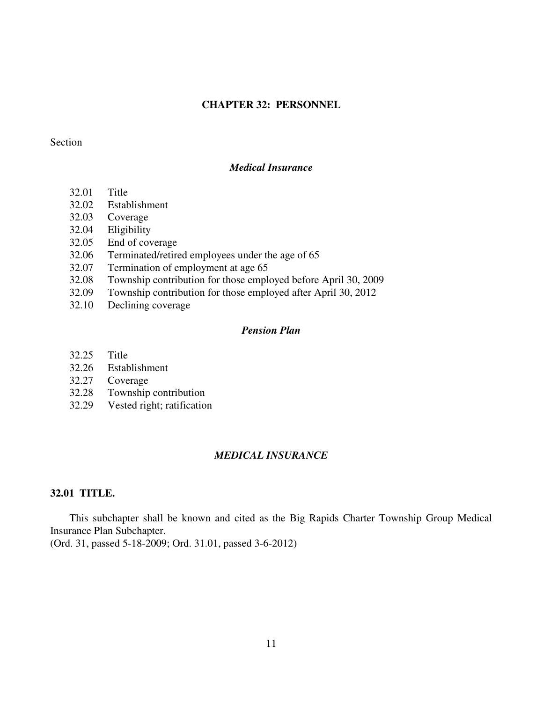## **CHAPTER 32: PERSONNEL**

### Section

## *Medical Insurance*

- 32.01 Title
- 32.02 Establishment
- 32.03 Coverage
- 32.04 Eligibility
- 32.05 End of coverage
- 32.06 Terminated/retired employees under the age of 65
- 32.07 Termination of employment at age 65
- 32.08 Township contribution for those employed before April 30, 2009
- 32.09 Township contribution for those employed after April 30, 2012
- 32.10 Declining coverage

### *Pension Plan*

- 32.25 Title
- 32.26 Establishment
- 32.27 Coverage
- 32.28 Township contribution
- 32.29 Vested right; ratification

## *MEDICAL INSURANCE*

## **32.01 TITLE.**

This subchapter shall be known and cited as the Big Rapids Charter Township Group Medical Insurance Plan Subchapter.

(Ord. 31, passed 5-18-2009; Ord. 31.01, passed 3-6-2012)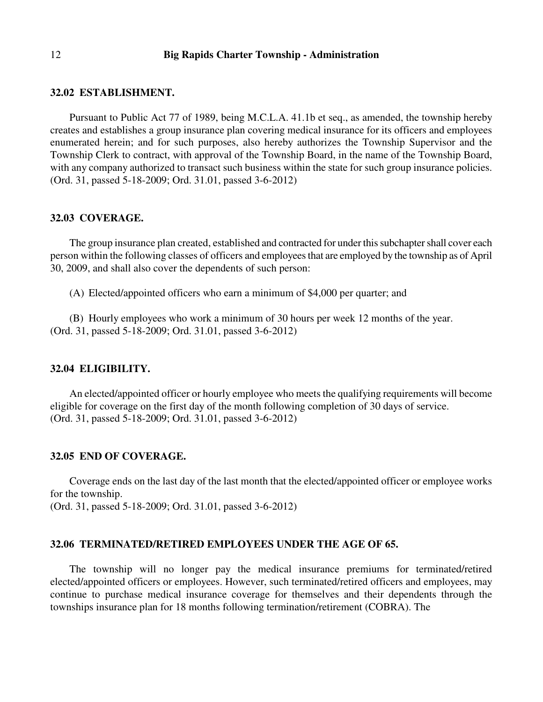#### 12 **Big Rapids Charter Township - Administration**

#### **32.02 ESTABLISHMENT.**

Pursuant to Public Act 77 of 1989, being M.C.L.A. 41.1b et seq., as amended, the township hereby creates and establishes a group insurance plan covering medical insurance for its officers and employees enumerated herein; and for such purposes, also hereby authorizes the Township Supervisor and the Township Clerk to contract, with approval of the Township Board, in the name of the Township Board, with any company authorized to transact such business within the state for such group insurance policies. (Ord. 31, passed 5-18-2009; Ord. 31.01, passed 3-6-2012)

#### **32.03 COVERAGE.**

The group insurance plan created, established and contracted for under this subchapter shall cover each person within the following classes of officers and employees that are employed by the township as of April 30, 2009, and shall also cover the dependents of such person:

(A) Elected/appointed officers who earn a minimum of \$4,000 per quarter; and

(B) Hourly employees who work a minimum of 30 hours per week 12 months of the year. (Ord. 31, passed 5-18-2009; Ord. 31.01, passed 3-6-2012)

#### **32.04 ELIGIBILITY.**

An elected/appointed officer or hourly employee who meets the qualifying requirements will become eligible for coverage on the first day of the month following completion of 30 days of service. (Ord. 31, passed 5-18-2009; Ord. 31.01, passed 3-6-2012)

#### **32.05 END OF COVERAGE.**

Coverage ends on the last day of the last month that the elected/appointed officer or employee works for the township.

(Ord. 31, passed 5-18-2009; Ord. 31.01, passed 3-6-2012)

#### **32.06 TERMINATED/RETIRED EMPLOYEES UNDER THE AGE OF 65.**

The township will no longer pay the medical insurance premiums for terminated/retired elected/appointed officers or employees. However, such terminated/retired officers and employees, may continue to purchase medical insurance coverage for themselves and their dependents through the townships insurance plan for 18 months following termination/retirement (COBRA). The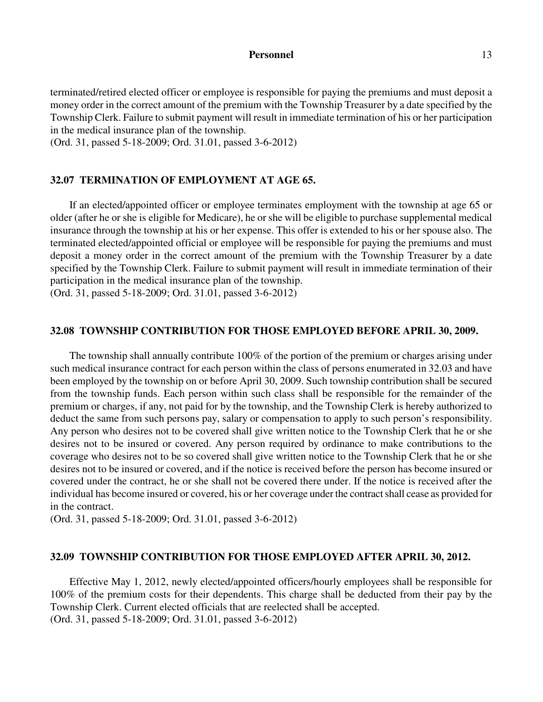#### Personnel 13

terminated/retired elected officer or employee is responsible for paying the premiums and must deposit a money order in the correct amount of the premium with the Township Treasurer by a date specified by the Township Clerk. Failure to submit payment will result in immediate termination of his or her participation in the medical insurance plan of the township.

(Ord. 31, passed 5-18-2009; Ord. 31.01, passed 3-6-2012)

### **32.07 TERMINATION OF EMPLOYMENT AT AGE 65.**

If an elected/appointed officer or employee terminates employment with the township at age 65 or older (after he or she is eligible for Medicare), he or she will be eligible to purchase supplemental medical insurance through the township at his or her expense. This offer is extended to his or her spouse also. The terminated elected/appointed official or employee will be responsible for paying the premiums and must deposit a money order in the correct amount of the premium with the Township Treasurer by a date specified by the Township Clerk. Failure to submit payment will result in immediate termination of their participation in the medical insurance plan of the township.

(Ord. 31, passed 5-18-2009; Ord. 31.01, passed 3-6-2012)

#### **32.08 TOWNSHIP CONTRIBUTION FOR THOSE EMPLOYED BEFORE APRIL 30, 2009.**

The township shall annually contribute 100% of the portion of the premium or charges arising under such medical insurance contract for each person within the class of persons enumerated in 32.03 and have been employed by the township on or before April 30, 2009. Such township contribution shall be secured from the township funds. Each person within such class shall be responsible for the remainder of the premium or charges, if any, not paid for by the township, and the Township Clerk is hereby authorized to deduct the same from such persons pay, salary or compensation to apply to such person's responsibility. Any person who desires not to be covered shall give written notice to the Township Clerk that he or she desires not to be insured or covered. Any person required by ordinance to make contributions to the coverage who desires not to be so covered shall give written notice to the Township Clerk that he or she desires not to be insured or covered, and if the notice is received before the person has become insured or covered under the contract, he or she shall not be covered there under. If the notice is received after the individual has become insured or covered, his or her coverage under the contract shall cease as provided for in the contract.

(Ord. 31, passed 5-18-2009; Ord. 31.01, passed 3-6-2012)

#### **32.09 TOWNSHIP CONTRIBUTION FOR THOSE EMPLOYED AFTER APRIL 30, 2012.**

Effective May 1, 2012, newly elected/appointed officers/hourly employees shall be responsible for 100% of the premium costs for their dependents. This charge shall be deducted from their pay by the Township Clerk. Current elected officials that are reelected shall be accepted. (Ord. 31, passed 5-18-2009; Ord. 31.01, passed 3-6-2012)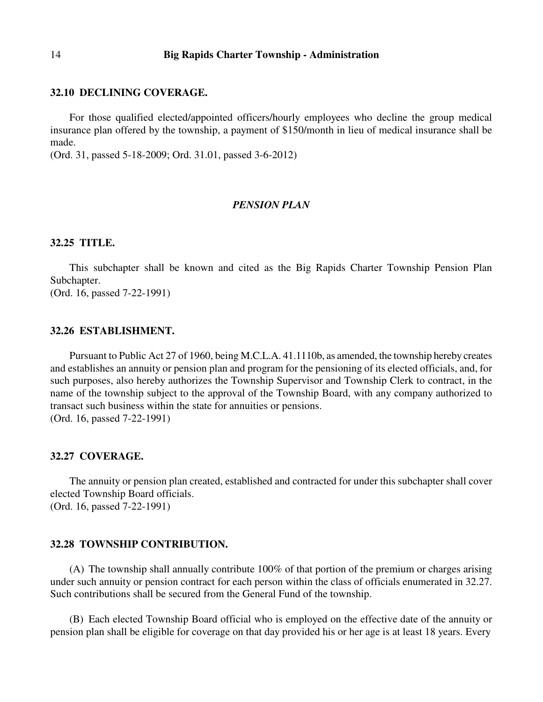#### 14 **Big Rapids Charter Township - Administration**

#### **32.10 DECLINING COVERAGE.**

For those qualified elected/appointed officers/hourly employees who decline the group medical insurance plan offered by the township, a payment of \$150/month in lieu of medical insurance shall be made.

(Ord. 31, passed 5-18-2009; Ord. 31.01, passed 3-6-2012)

### *PENSION PLAN*

### **32.25 TITLE.**

This subchapter shall be known and cited as the Big Rapids Charter Township Pension Plan Subchapter.

(Ord. 16, passed 7-22-1991)

### **32.26 ESTABLISHMENT.**

Pursuant to Public Act 27 of 1960, being M.C.L.A. 41.1110b, as amended, the township hereby creates and establishes an annuity or pension plan and program for the pensioning of its elected officials, and, for such purposes, also hereby authorizes the Township Supervisor and Township Clerk to contract, in the name of the township subject to the approval of the Township Board, with any company authorized to transact such business within the state for annuities or pensions. (Ord. 16, passed 7-22-1991)

#### **32.27 COVERAGE.**

The annuity or pension plan created, established and contracted for under this subchapter shall cover elected Township Board officials. (Ord. 16, passed 7-22-1991)

#### **32.28 TOWNSHIP CONTRIBUTION.**

(A) The township shall annually contribute 100% of that portion of the premium or charges arising under such annuity or pension contract for each person within the class of officials enumerated in 32.27. Such contributions shall be secured from the General Fund of the township.

(B) Each elected Township Board official who is employed on the effective date of the annuity or pension plan shall be eligible for coverage on that day provided his or her age is at least 18 years. Every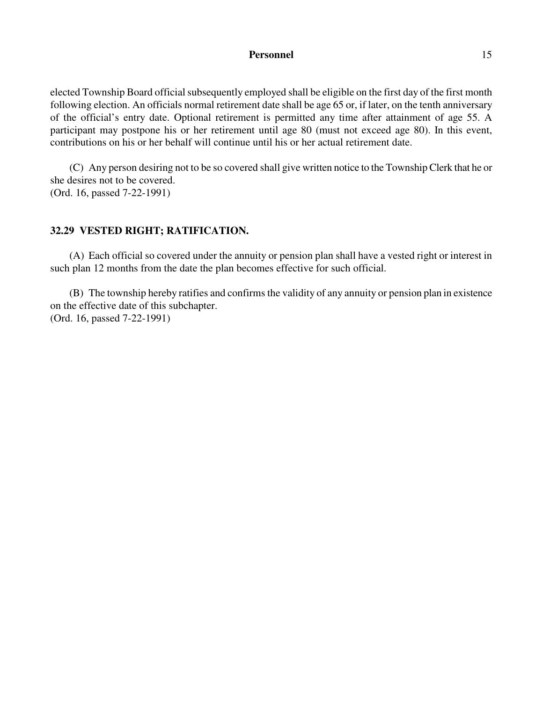### **Personnel** 15

elected Township Board official subsequently employed shall be eligible on the first day of the first month following election. An officials normal retirement date shall be age 65 or, if later, on the tenth anniversary of the official's entry date. Optional retirement is permitted any time after attainment of age 55. A participant may postpone his or her retirement until age 80 (must not exceed age 80). In this event, contributions on his or her behalf will continue until his or her actual retirement date.

(C) Any person desiring not to be so covered shall give written notice to the Township Clerk that he or she desires not to be covered. (Ord. 16, passed 7-22-1991)

## **32.29 VESTED RIGHT; RATIFICATION.**

(A) Each official so covered under the annuity or pension plan shall have a vested right or interest in such plan 12 months from the date the plan becomes effective for such official.

(B) The township hereby ratifies and confirms the validity of any annuity or pension plan in existence on the effective date of this subchapter. (Ord. 16, passed 7-22-1991)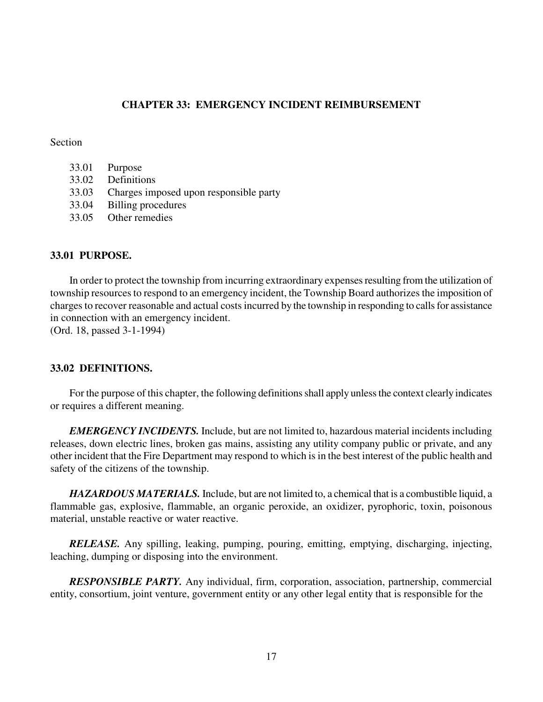## **CHAPTER 33: EMERGENCY INCIDENT REIMBURSEMENT**

### **Section**

| 33.01 | Purpose |
|-------|---------|
|       |         |

- 33.02 Definitions
- 33.03 Charges imposed upon responsible party
- 33.04 Billing procedures
- 33.05 Other remedies

## **33.01 PURPOSE.**

In order to protect the township from incurring extraordinary expenses resulting from the utilization of township resources to respond to an emergency incident, the Township Board authorizes the imposition of charges to recover reasonable and actual costs incurred by the township in responding to calls for assistance in connection with an emergency incident. (Ord. 18, passed 3-1-1994)

# **33.02 DEFINITIONS.**

For the purpose of this chapter, the following definitions shall apply unless the context clearly indicates or requires a different meaning.

*EMERGENCY INCIDENTS.* Include, but are not limited to, hazardous material incidents including releases, down electric lines, broken gas mains, assisting any utility company public or private, and any other incident that the Fire Department may respond to which is in the best interest of the public health and safety of the citizens of the township.

*HAZARDOUS MATERIALS.* Include, but are not limited to, a chemical that is a combustible liquid, a flammable gas, explosive, flammable, an organic peroxide, an oxidizer, pyrophoric, toxin, poisonous material, unstable reactive or water reactive.

*RELEASE.* Any spilling, leaking, pumping, pouring, emitting, emptying, discharging, injecting, leaching, dumping or disposing into the environment.

*RESPONSIBLE PARTY.* Any individual, firm, corporation, association, partnership, commercial entity, consortium, joint venture, government entity or any other legal entity that is responsible for the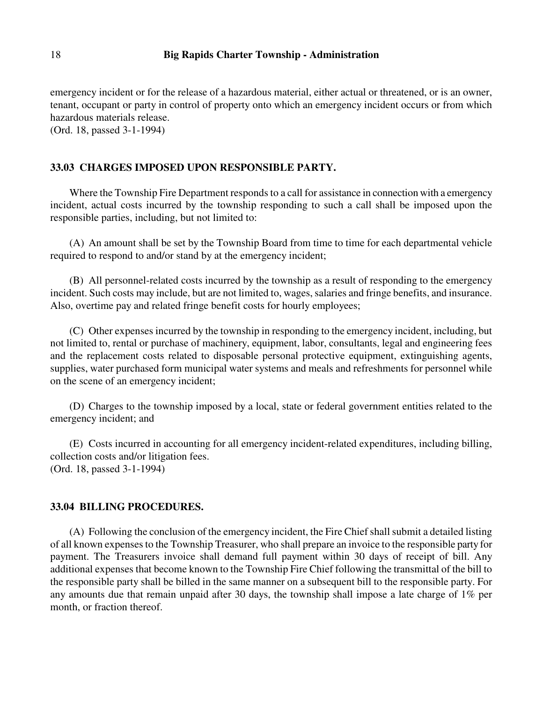emergency incident or for the release of a hazardous material, either actual or threatened, or is an owner, tenant, occupant or party in control of property onto which an emergency incident occurs or from which hazardous materials release.

(Ord. 18, passed 3-1-1994)

## **33.03 CHARGES IMPOSED UPON RESPONSIBLE PARTY.**

Where the Township Fire Department responds to a call for assistance in connection with a emergency incident, actual costs incurred by the township responding to such a call shall be imposed upon the responsible parties, including, but not limited to:

(A) An amount shall be set by the Township Board from time to time for each departmental vehicle required to respond to and/or stand by at the emergency incident;

(B) All personnel-related costs incurred by the township as a result of responding to the emergency incident. Such costs may include, but are not limited to, wages, salaries and fringe benefits, and insurance. Also, overtime pay and related fringe benefit costs for hourly employees;

(C) Other expenses incurred by the township in responding to the emergency incident, including, but not limited to, rental or purchase of machinery, equipment, labor, consultants, legal and engineering fees and the replacement costs related to disposable personal protective equipment, extinguishing agents, supplies, water purchased form municipal water systems and meals and refreshments for personnel while on the scene of an emergency incident;

(D) Charges to the township imposed by a local, state or federal government entities related to the emergency incident; and

(E) Costs incurred in accounting for all emergency incident-related expenditures, including billing, collection costs and/or litigation fees. (Ord. 18, passed 3-1-1994)

### **33.04 BILLING PROCEDURES.**

(A) Following the conclusion of the emergency incident, the Fire Chief shall submit a detailed listing of all known expenses to the Township Treasurer, who shall prepare an invoice to the responsible party for payment. The Treasurers invoice shall demand full payment within 30 days of receipt of bill. Any additional expenses that become known to the Township Fire Chief following the transmittal of the bill to the responsible party shall be billed in the same manner on a subsequent bill to the responsible party. For any amounts due that remain unpaid after 30 days, the township shall impose a late charge of 1% per month, or fraction thereof.